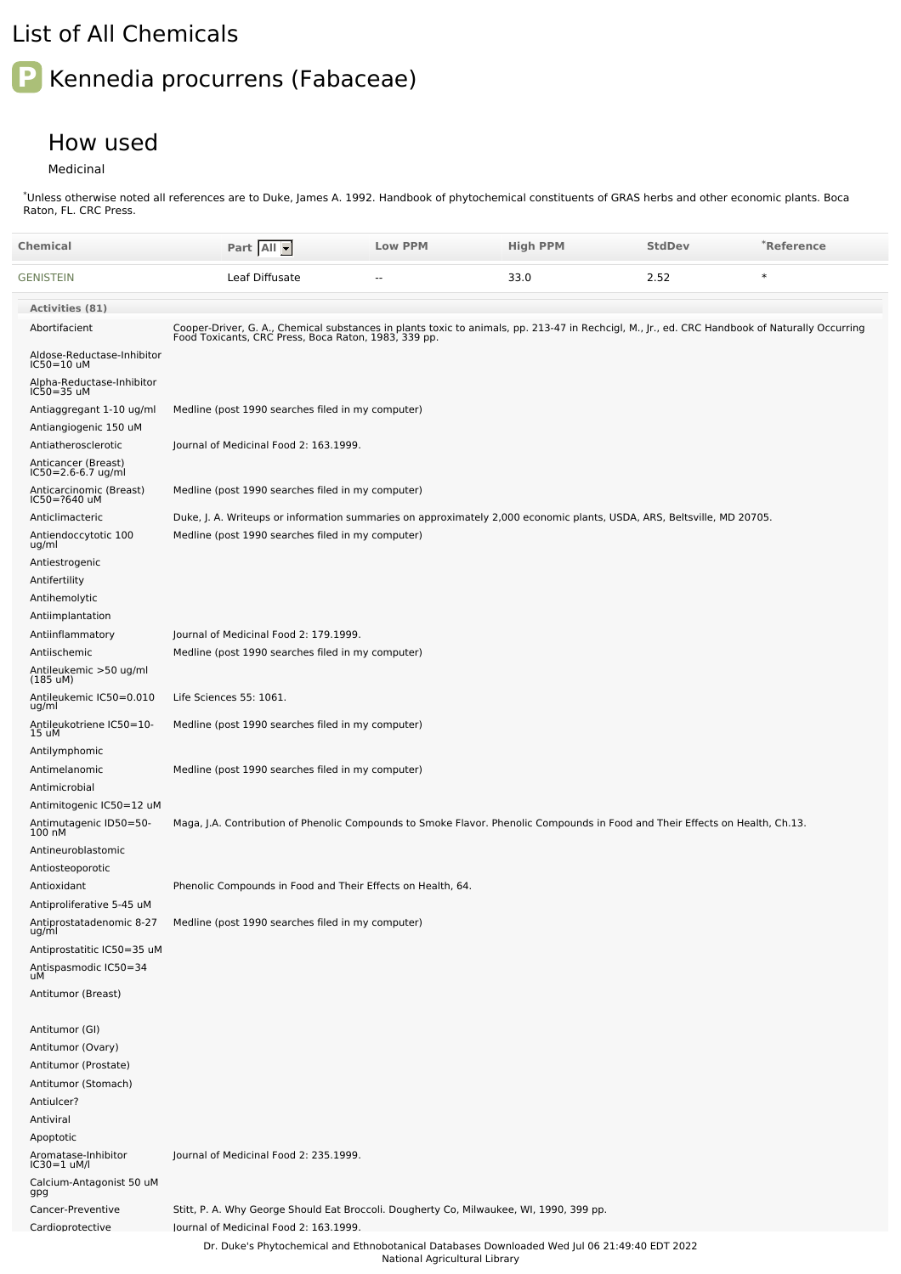## List of All Chemicals

## **P** Kennedia procurrens (Fabaceae)

## How used

Medicinal

Unless otherwise noted all references are to Duke, James A. 1992. Handbook of phytochemical constituents of GRAS herbs and other economic plants. Boca Raton, FL. CRC Press. \*

| Chemical                                          | Part All                                                                                                                                                                                               | <b>Low PPM</b>                | <b>High PPM</b> | <b>StdDev</b> | *Reference |
|---------------------------------------------------|--------------------------------------------------------------------------------------------------------------------------------------------------------------------------------------------------------|-------------------------------|-----------------|---------------|------------|
| GENISTEIN                                         | Leaf Diffusate                                                                                                                                                                                         |                               | 33.0            | 2.52          | $\ast$     |
| <b>Activities (81)</b>                            |                                                                                                                                                                                                        |                               |                 |               |            |
| Abortifacient                                     | Cooper-Driver, G. A., Chemical substances in plants toxic to animals, pp. 213-47 in Rechcigl, M., Jr., ed. CRC Handbook of Naturally Occurring<br>Food Toxicants, CRC Press, Boca Raton, 1983, 339 pp. |                               |                 |               |            |
| Aldose-Reductase-Inhibitor<br>IC50=10 uM          |                                                                                                                                                                                                        |                               |                 |               |            |
| Alpha-Reductase-Inhibitor<br>IC50=35 uM           |                                                                                                                                                                                                        |                               |                 |               |            |
| Antiaggregant 1-10 ug/ml<br>Antiangiogenic 150 uM | Medline (post 1990 searches filed in my computer)                                                                                                                                                      |                               |                 |               |            |
| Antiatherosclerotic                               | Journal of Medicinal Food 2: 163.1999.                                                                                                                                                                 |                               |                 |               |            |
| Anticancer (Breast)<br>IC50=2.6-6.7 ug/ml         |                                                                                                                                                                                                        |                               |                 |               |            |
| Anticarcinomic (Breast)<br>IC50=?640 uM           | Medline (post 1990 searches filed in my computer)                                                                                                                                                      |                               |                 |               |            |
| Anticlimacteric                                   | Duke, J. A. Writeups or information summaries on approximately 2,000 economic plants, USDA, ARS, Beltsville, MD 20705.                                                                                 |                               |                 |               |            |
| Antiendoccytotic 100<br>ug/ml                     | Medline (post 1990 searches filed in my computer)                                                                                                                                                      |                               |                 |               |            |
| Antiestrogenic                                    |                                                                                                                                                                                                        |                               |                 |               |            |
| Antifertility<br>Antihemolytic                    |                                                                                                                                                                                                        |                               |                 |               |            |
| Antiimplantation                                  |                                                                                                                                                                                                        |                               |                 |               |            |
| Antiinflammatory                                  | Journal of Medicinal Food 2: 179.1999.                                                                                                                                                                 |                               |                 |               |            |
| Antiischemic                                      | Medline (post 1990 searches filed in my computer)                                                                                                                                                      |                               |                 |               |            |
| Antileukemic >50 ug/ml<br>$(185 \text{ uM})$      |                                                                                                                                                                                                        |                               |                 |               |            |
| Antileukemic IC50=0.010<br>ug/ml                  | Life Sciences 55: 1061.                                                                                                                                                                                |                               |                 |               |            |
| Antileukotriene IC50=10-<br>15 uM                 | Medline (post 1990 searches filed in my computer)                                                                                                                                                      |                               |                 |               |            |
| Antilymphomic                                     |                                                                                                                                                                                                        |                               |                 |               |            |
| Antimelanomic<br>Antimicrobial                    | Medline (post 1990 searches filed in my computer)                                                                                                                                                      |                               |                 |               |            |
| Antimitogenic IC50=12 uM                          |                                                                                                                                                                                                        |                               |                 |               |            |
| Antimutagenic ID50=50-<br>100 nM                  | Maga, J.A. Contribution of Phenolic Compounds to Smoke Flavor. Phenolic Compounds in Food and Their Effects on Health, Ch.13.                                                                          |                               |                 |               |            |
| Antineuroblastomic                                |                                                                                                                                                                                                        |                               |                 |               |            |
| Antiosteoporotic                                  |                                                                                                                                                                                                        |                               |                 |               |            |
| Antioxidant<br>Antiproliferative 5-45 uM          | Phenolic Compounds in Food and Their Effects on Health, 64.                                                                                                                                            |                               |                 |               |            |
| Antiprostatadenomic 8-27<br>ug/ml                 | Medline (post 1990 searches filed in my computer)                                                                                                                                                      |                               |                 |               |            |
| Antiprostatitic IC50=35 uM                        |                                                                                                                                                                                                        |                               |                 |               |            |
| Antispasmodic IC50=34<br>uM                       |                                                                                                                                                                                                        |                               |                 |               |            |
| Antitumor (Breast)                                |                                                                                                                                                                                                        |                               |                 |               |            |
| Antitumor (GI)                                    |                                                                                                                                                                                                        |                               |                 |               |            |
| Antitumor (Ovary)                                 |                                                                                                                                                                                                        |                               |                 |               |            |
| Antitumor (Prostate)                              |                                                                                                                                                                                                        |                               |                 |               |            |
| Antitumor (Stomach)                               |                                                                                                                                                                                                        |                               |                 |               |            |
| Antiulcer?                                        |                                                                                                                                                                                                        |                               |                 |               |            |
| Antiviral                                         |                                                                                                                                                                                                        |                               |                 |               |            |
| Apoptotic<br>Aromatase-Inhibitor<br>IC30=1 uM/l   | Journal of Medicinal Food 2: 235.1999.                                                                                                                                                                 |                               |                 |               |            |
| Calcium-Antagonist 50 uM<br>gpg                   |                                                                                                                                                                                                        |                               |                 |               |            |
| Cancer-Preventive                                 | Stitt, P. A. Why George Should Eat Broccoli. Dougherty Co, Milwaukee, WI, 1990, 399 pp.                                                                                                                |                               |                 |               |            |
| Cardioprotective                                  | lournal of Medicinal Food 2: 163.1999.                                                                                                                                                                 |                               |                 |               |            |
|                                                   | Dr. Duke's Phytochemical and Ethnobotanical Databases Downloaded Wed Jul 06 21:49:40 EDT 2022                                                                                                          | National Agricultural Library |                 |               |            |